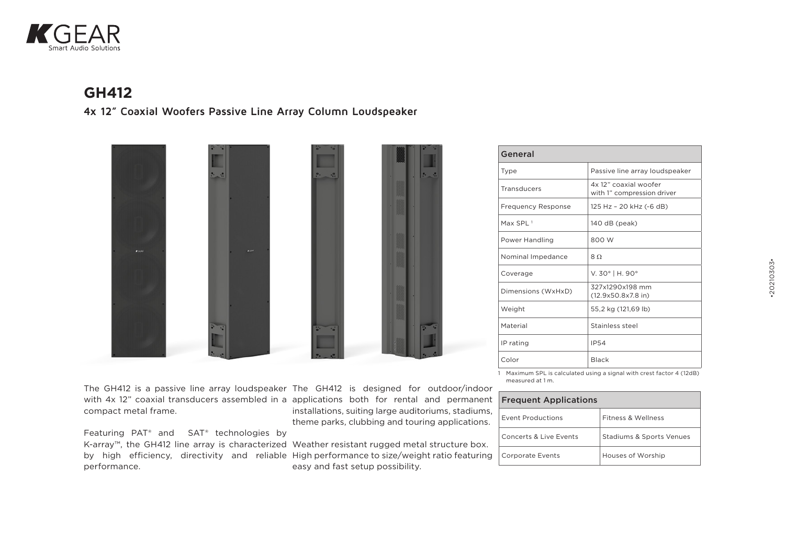

## **GH412**

**4x 12" Coaxial Woofers Passive Line Array Column Loudspeaker**



The GH412 is a passive line array loudspeaker The GH412 is designed for outdoor/indoor with 4x 12" coaxial transducers assembled in a applications both for rental and permanent compact metal frame.

Featuring PAT® and SAT® technologies by performance.

installations, suiting large auditoriums, stadiums, theme parks, clubbing and touring applications.

K-array™, the GH412 line array is characterized Weather resistant rugged metal structure box. by high efficiency, directivity and reliable High performance to size/weight ratio featuring easy and fast setup possibility.

| General                   |                                                     |
|---------------------------|-----------------------------------------------------|
| <b>Type</b>               | Passive line array loudspeaker                      |
| Transducers               | 4x 12" coaxial woofer<br>with 1" compression driver |
| <b>Frequency Response</b> | 125 Hz - 20 kHz (-6 dB)                             |
| Max SPI $1$               | 140 dB (peak)                                       |
| Power Handling            | 800 W                                               |
| Nominal Impedance         | 8.0                                                 |
| Coverage                  | V. 30°   H. 90°                                     |
| Dimensions (WxHxD)        | 327x1290x198 mm<br>$(12.9x50.8x7.8$ in)             |
| Weight                    | 55,2 kg (121,69 lb)                                 |
| Material                  | Stainless steel                                     |
| IP rating                 | IP54                                                |
| Color                     | Black                                               |

1 Maximum SPL is calculated using a signal with crest factor 4 (12dB) measured at 1 m.

| <b>Frequent Applications</b> |                                     |  |
|------------------------------|-------------------------------------|--|
| Event Productions            | Fitness & Wellness                  |  |
| Concerts & Live Events       | <b>Stadiums &amp; Sports Venues</b> |  |
| <b>Corporate Events</b>      | Houses of Worship                   |  |